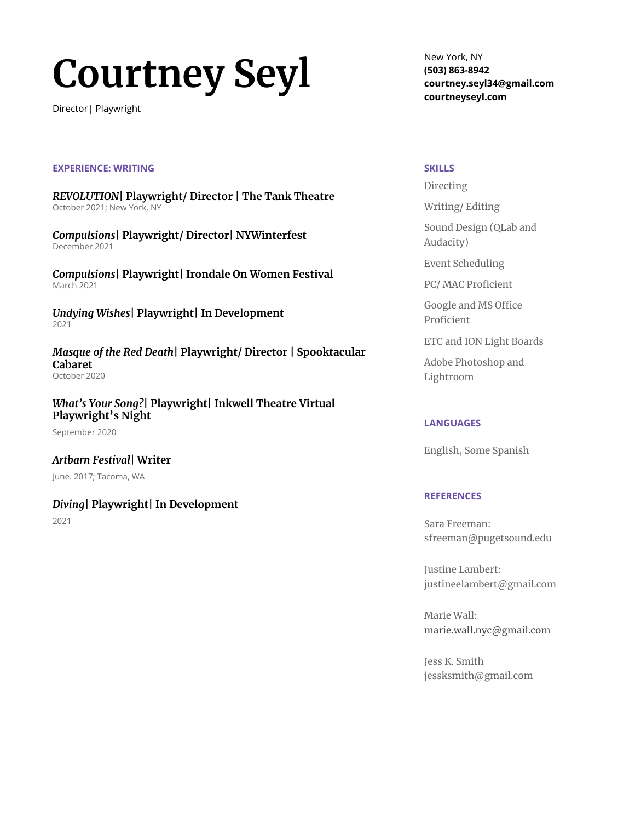# **Courtney Seyl**

Director| Playwright

#### **EXPERIENCE: WRITING**

*REVOLUTION***| Playwright/ Director | The Tank Theatre** October 2021; New York, NY

*Compulsions***| Playwright/ Director| NYWinterfest** December 2021

*Compulsions***| Playwright| Irondale On Women Festival** March 2021

*Undying Wishes***| Playwright| In Development** 2021

*Masque of the Red Death***| Playwright/ Director | Spooktacular Cabaret** October 2020

*What's Your Song?***| Playwright| Inkwell Theatre Virtual Playwright's Night**

September 2020

*Artbarn Festival***| Writer** June. 2017; Tacoma, WA

## *Diving***| Playwright| In Development**

2021

New York, NY **(503) 863-8942 courtney.seyl34@gmail.com courtneyseyl.com**

#### **SKILLS**

Directing

Writing/ Editing

Sound Design (QLab and Audacity)

Event Scheduling

PC/ MAC Proficient

Google and MS Office Proficient

ETC and ION Light Boards

Adobe Photoshop and Lightroom

## **LANGUAGES**

English, Some Spanish

## **REFERENCES**

Sara Freeman: [sfreeman@pugetsound.edu](mailto:sfreeman@pugetsound.edu)

Justine Lambert: justineelambert@gmail.com

Marie Wall: [marie.wall.nyc@gmail.com](mailto:marie.wall.nyc@gmail.com)

Jess K. Smith jessksmith@gmail.com